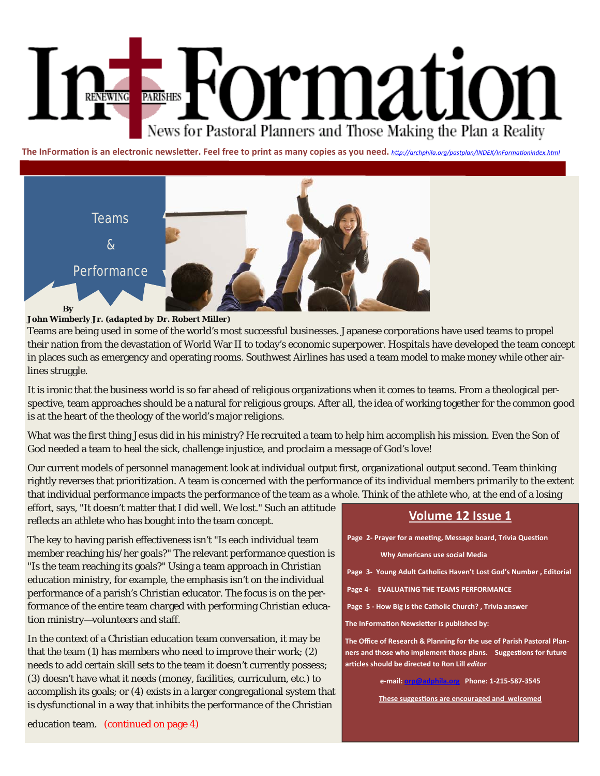

**The InFormaƟon is an electronic newsleƩer. Feel free to print as many copies as you need.** *hƩ[p://archphila.org/pastplan/INDEX/InForma](http://www.archphila.org/pastplan/INDEX/InFormationindex.html)Ɵonindex.html*



#### **John Wimberly Jr. (***adapted by Dr. Robert Miller)*

Teams are being used in some of the world's most successful businesses. Japanese corporations have used teams to propel their nation from the devastation of World War II to today's economic superpower. Hospitals have developed the team concept in places such as emergency and operating rooms. Southwest Airlines has used a team model to make money while other airlines struggle.

It is ironic that the business world is so far ahead of religious organizations when it comes to teams. From a theological perspective, team approaches should be a natural for religious groups. After all, the idea of working together for the common good is at the heart of the theology of the world's major religions.

What was the first thing Jesus did in his ministry? He recruited a team to help him accomplish his mission. Even the Son of God needed a team to heal the sick, challenge injustice, and proclaim a message of God's love!

Our current models of personnel management look at individual output first, organizational output second. Team thinking rightly reverses that prioritization. A team is concerned with the performance of its individual members primarily to the extent that individual performance impacts the performance of the team as a whole. Think of the athlete who, at the end of a losing

effort, says, "It doesn't matter that I did well. We lost." Such an attitude reflects an athlete who has bought into the team concept.

The key to having parish effectiveness isn't "Is each individual team member reaching his/her goals?" The relevant performance question is "Is the team reaching its goals?" Using a team approach in Christian education ministry, for example, the emphasis isn't on the individual performance of a parish's Christian educator. The focus is on the performance of the entire team charged with performing Christian education ministry—volunteers and staff.

In the context of a Christian education team conversation, it may be that the team (1) has members who need to improve their work; (2) needs to add certain skill sets to the team it doesn't currently possess; (3) doesn't have what it needs (money, facilities, curriculum, etc.) to accomplish its goals; or (4) exists in a larger congregational system that is dysfunctional in a way that inhibits the performance of the Christian

## **Volume 12 Issue 1**

Page 2- Prayer for a meeting, Message board, Trivia Question

 **Why Americans use social Media** 

 **Page 3‐ Young Adult Catholics Haven't Lost God's Number , Editorial** 

- **Page 4‐ EVALUATING THE TEAMS PERFORMANCE**
- **Page 5 ‐ How Big is the Catholic Church? , Trivia answer**

**The InFormaƟon NewsleƩer is published by:** 

**The Office of Research & Planning for the use of Parish Pastoral Plan‐ ners and those who implement those plans. SuggesƟons for future arƟcles should be directed to Ron Lill** *editor* 

**e‐mail: orp@adphila.org Phone: 1‐215‐587‐3545** 

**These suggesƟons are encouraged and welcomed** 

education team. (continued on page 4)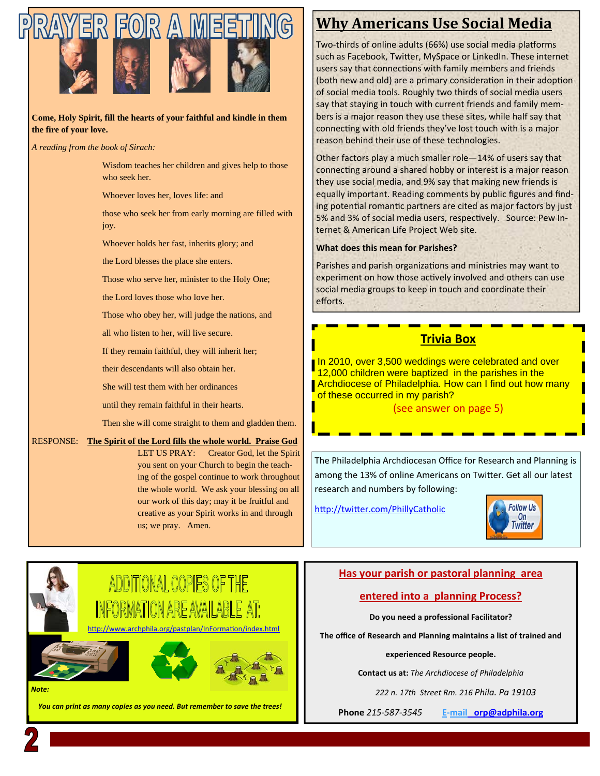

**Come, Holy Spirit, fill the hearts of your faithful and kindle in them the fire of your love.**

*A reading from the book of Sirach:*

Wisdom teaches her children and gives help to those who seek her.

Whoever loves her, loves life: and

those who seek her from early morning are filled with joy.

Whoever holds her fast, inherits glory; and

the Lord blesses the place she enters.

Those who serve her, minister to the Holy One;

the Lord loves those who love her.

Those who obey her, will judge the nations, and

all who listen to her, will live secure.

If they remain faithful, they will inherit her;

their descendants will also obtain her.

She will test them with her ordinances

until they remain faithful in their hearts.

Then she will come straight to them and gladden them.

RESPONSE: **The Spirit of the Lord fills the whole world. Praise God** 

LET US PRAY: Creator God, let the Spirit you sent on your Church to begin the teaching of the gospel continue to work throughout the whole world. We ask your blessing on all our work of this day; may it be fruitful and creative as your Spirit works in and through us; we pray. Amen.

# **Why Americans Use Social Media**

Two-thirds of online adults (66%) use social media platforms such as Facebook, Twitter, MySpace or LinkedIn. These internet users say that connections with family members and friends (both new and old) are a primary consideration in their adoption of social media tools. Roughly two thirds of social media users say that staying in touch with current friends and family members is a major reason they use these sites, while half say that connecting with old friends they've lost touch with is a major reason behind their use of these technologies.

Other factors play a much smaller role—14% of users say that connecting around a shared hobby or interest is a major reason they use social media, and 9% say that making new friends is equally important. Reading comments by public figures and find‐ ing potential romantic partners are cited as major factors by just 5% and 3% of social media users, respectively. Source: Pew Internet & American Life Project Web site.

**What does this mean for Parishes?** 

Parishes and parish organizations and ministries may want to experiment on how those actively involved and others can use social media groups to keep in touch and coordinate their efforts.

## **Trivia Box**

In 2010, over 3,500 weddings were celebrated and over 12,000 children were baptized in the parishes in the **Archdiocese of Philadelphia. How can I find out how many** of these occurred in my parish?

(see answer on page 5)

The Philadelphia Archdiocesan Office for Research and Planning is among the 13% of online Americans on Twitter. Get all our latest research and numbers by following:

http://twitt[er.com/PhillyCatholic](https://twitter.com/#!/phillycatholic)



# ADDITIONAL COPIES OF THE FORMATION ARF AVAII ABI F. AT' www.archphila.org/pastplan/InFormation/index.html





 *You can print as many copies as you need. But remember to save the trees!* 

*Note:* 

#### **Has your parish or pastoral planning area**

#### **entered into a planning Process?**

**Do you need a professional Facilitator?** 

**The office of Research and Planning maintains a list of trained and** 

**experienced Resource people.** 

**Contact us at:** *The Archdiocese of Philadelphia* 

 *222 n. 17th Street Rm. 216 Phila. Pa 19103* 

**Phone** *215‐587‐3545* **E‐mail orp@adphila.org**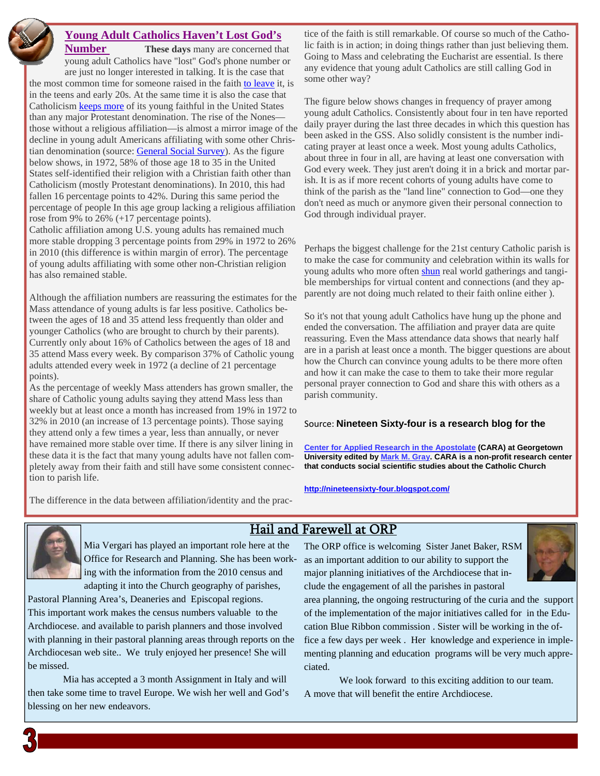

## **Young Adult Catholics Haven't Lost God's**

**Number** These days many are concerned that young adult Catholics have "lost" God's phone number or are just no longer interested in talking. It is the case that the most common time for someone raised in the faith to leave it, is in the teens and early 20s. At the same time it is also the case that Catholicism keeps more of its young faithful in the United States than any major Protestant denomination. The rise of the Nones those without a religious affiliation—is almost a mirror image of the decline in young adult Americans affiliating with some other Christian denomination (source: General Social Survey). As the figure below shows, in 1972, 58% of those age 18 to 35 in the United States self-identified their religion with a Christian faith other than Catholicism (mostly Protestant denominations). In 2010, this had fallen 16 percentage points to 42%. During this same period the percentage of people In this age group lacking a religious affiliation rose from 9% to 26% (+17 percentage points).

Catholic affiliation among U.S. young adults has remained much more stable dropping 3 percentage points from 29% in 1972 to 26% in 2010 (this difference is within margin of error). The percentage of young adults affiliating with some other non-Christian religion has also remained stable.

Although the affiliation numbers are reassuring the estimates for the Mass attendance of young adults is far less positive. Catholics between the ages of 18 and 35 attend less frequently than older and younger Catholics (who are brought to church by their parents). Currently only about 16% of Catholics between the ages of 18 and 35 attend Mass every week. By comparison 37% of Catholic young adults attended every week in 1972 (a decline of 21 percentage points).

As the percentage of weekly Mass attenders has grown smaller, the share of Catholic young adults saying they attend Mass less than weekly but at least once a month has increased from 19% in 1972 to 32% in 2010 (an increase of 13 percentage points). Those saying they attend only a few times a year, less than annually, or never have remained more stable over time. If there is any silver lining in these data it is the fact that many young adults have not fallen completely away from their faith and still have some consistent connection to parish life.

tice of the faith is still remarkable. Of course so much of the Catholic faith is in action; in doing things rather than just believing them. Going to Mass and celebrating the Eucharist are essential. Is there any evidence that young adult Catholics are still calling God in some other way?

The figure below shows changes in frequency of prayer among young adult Catholics. Consistently about four in ten have reported daily prayer during the last three decades in which this question has been asked in the GSS. Also solidly consistent is the number indicating prayer at least once a week. Most young adults Catholics, about three in four in all, are having at least one conversation with God every week. They just aren't doing it in a brick and mortar parish. It is as if more recent cohorts of young adults have come to think of the parish as the "land line" connection to God—one they don't need as much or anymore given their personal connection to God through individual prayer.

Perhaps the biggest challenge for the 21st century Catholic parish is to make the case for community and celebration within its walls for young adults who more often shun real world gatherings and tangible memberships for virtual content and connections (and they apparently are not doing much related to their faith online either ).

So it's not that young adult Catholics have hung up the phone and ended the conversation. The affiliation and prayer data are quite reassuring. Even the Mass attendance data shows that nearly half are in a parish at least once a month. The bigger questions are about how the Church can convince young adults to be there more often and how it can make the case to them to take their more regular personal prayer connection to God and share this with others as a parish community.

#### Source: **Nineteen Sixty-four is a research blog for the**

**[Center for Applied Research in the Apostolate](http://cara.georgetown.edu/) (CARA) at Georgetown University edited by [Mark M. Gray.](http://cara.georgetown.edu/AboutCARA/gray.html) CARA is a non-profit research center that conducts social scientific studies about the Catholic Church** 

The difference in the data between affiliation/identity and the prac-

**<http://nineteensixty-four.blogspot.com/>**



be missed.

blessing on her new endeavors.

Hail and Farewell at ORP

The ORP office is welcoming Sister Janet Baker, RSM as an important addition to our ability to support the major planning initiatives of the Archdiocese that include the engagement of all the parishes in pastoral



This important work makes the census numbers valuable to the Archdiocese. and available to parish planners and those involved with planning in their pastoral planning areas through reports on the Archdiocesan web site.. We truly enjoyed her presence! She will area planning, the ongoing restructuring of the curia and the support of the implementation of the major initiatives called for in the Education Blue Ribbon commission . Sister will be working in the office a few days per week . Her knowledge and experience in implementing planning and education programs will be very much appreciated.

> We look forward to this exciting addition to our team. A move that will benefit the entire Archdiocese.

Pastoral Planning Area's, Deaneries and Episcopal regions.

Mia has accepted a 3 month Assignment in Italy and will

then take some time to travel Europe. We wish her well and God's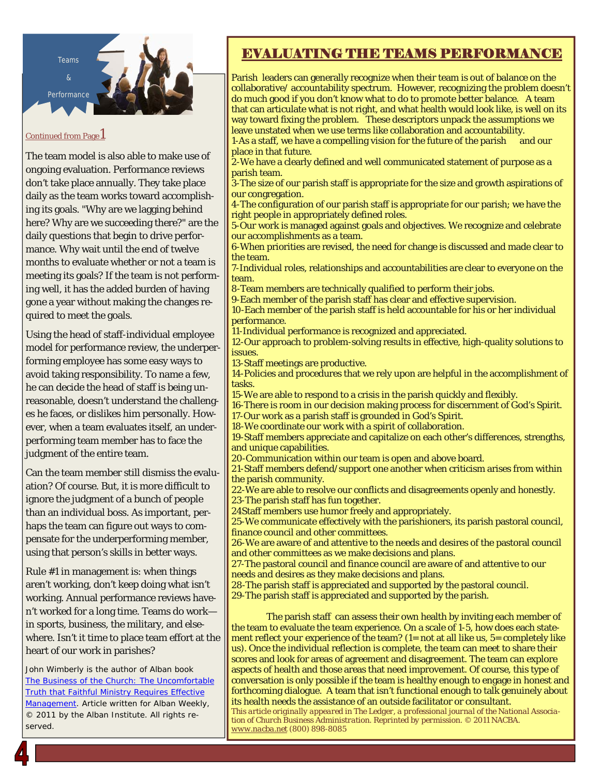

#### Continued from Page $1$

The team model is also able to make use of ongoing evaluation. Performance reviews don't take place annually. They take place daily as the team works toward accomplishing its goals. "Why are we lagging behind here? Why are we succeeding there?" are the daily questions that begin to drive performance. Why wait until the end of twelve months to evaluate whether or not a team is meeting its goals? If the team is not performing well, it has the added burden of having gone a year without making the changes required to meet the goals.

Using the head of staff-individual employee model for performance review, the underperforming employee has some easy ways to avoid taking responsibility. To name a few, he can decide the head of staff is being unreasonable, doesn't understand the challenges he faces, or dislikes him personally. However, when a team evaluates itself, an underperforming team member has to face the judgment of the entire team.

Can the team member still dismiss the evaluation? Of course. But, it is more difficult to ignore the judgment of a bunch of people than an individual boss. As important, perhaps the team can figure out ways to compensate for the underperforming member, using that person's skills in better ways.

Rule #1 in management is: when things aren't working, don't keep doing what isn't working. Annual performance reviews haven't worked for a long time. Teams do work in sports, business, the military, and elsewhere. Isn't it time to place team effort at the heart of our work in parishes?

*John Wimberly is the author of Alban book [The Business of the Church: The Uncomfortable](http://www.alban.org/bookdetails.aspx?id=9029)  Truth that Faithful Ministry Requires Effective Management*. *Article written for Alban Weekly, © 2011 by the Alban Institute. All rights reserved.* 

# EVALUATING THE TEAMS PERFORMANCE

Parish leaders can generally recognize when their team is out of balance on the collaborative/ accountability spectrum. However, recognizing the problem doesn't do much good if you don't know what to do to promote better balance. A team that can articulate what is not right, and what health would look like, is well on its way toward fixing the problem. These descriptors unpack the assumptions we leave unstated when we use terms like collaboration and accountability.

1-As a staff, we have a compelling vision for the future of the parish  $\overline{\phantom{a}}$  and our place in that future.

2-We have a clearly defined and well communicated statement of purpose as a parish team.

3-The size of our parish staff is appropriate for the size and growth aspirations of our congregation.

4-The configuration of our parish staff is appropriate for our parish; we have the right people in appropriately defined roles.

5-Our work is managed against goals and objectives. We recognize and celebrate our accomplishments as a team.

6-When priorities are revised, the need for change is discussed and made clear to the team.

7-Individual roles, relationships and accountabilities are clear to everyone on the team.

8-Team members are technically qualified to perform their jobs.

9-Each member of the parish staff has clear and effective supervision. 10-Each member of the parish staff is held accountable for his or her individual performance.

11-Individual performance is recognized and appreciated.

12-Our approach to problem-solving results in effective, high-quality solutions to issues.

13-Staff meetings are productive.

14-Policies and procedures that we rely upon are helpful in the accomplishment of tasks.

15-We are able to respond to a crisis in the parish quickly and flexibly.

16-There is room in our decision making process for discernment of God's Spirit.

17-Our work as a parish staff is grounded in God's Spirit.

18-We coordinate our work with a spirit of collaboration.

19-Staff members appreciate and capitalize on each other's differences, strengths, and unique capabilities.

20-Communication within our team is open and above board.

21-Staff members defend/support one another when criticism arises from within the parish community.

22-We are able to resolve our conflicts and disagreements openly and honestly. 23-The parish staff has fun together.

24Staff members use humor freely and appropriately.

25-We communicate effectively with the parishioners, its parish pastoral council, finance council and other committees.

26-We are aware of and attentive to the needs and desires of the pastoral council and other committees as we make decisions and plans.

27-The pastoral council and finance council are aware of and attentive to our needs and desires as they make decisions and plans.

- 28-The parish staff is appreciated and supported by the pastoral council.
- 29-The parish staff is appreciated and supported by the parish.

 The parish staff can assess their own health by inviting each member of the team to evaluate the team experience. On a scale of 1-5, how does each statement reflect *your* experience of the team? (1= not at all like us, 5= completely like us). Once the individual reflection is complete, the team can meet to share their scores and look for areas of agreement and disagreement. The team can explore aspects of health and those areas that need improvement. Of course, this type of conversation is only possible if the team is healthy enough to engage in honest and forthcoming dialogue. A team that isn't functional enough to talk genuinely about its health needs the assistance of an outside facilitator or consultant. *This article originally appeared in The Ledger, a professional journal of the National Associa-*

*tion of Church Business Administration. Reprinted by permission. © 2011 NACBA. www.nacba.net (800) 898-8085*